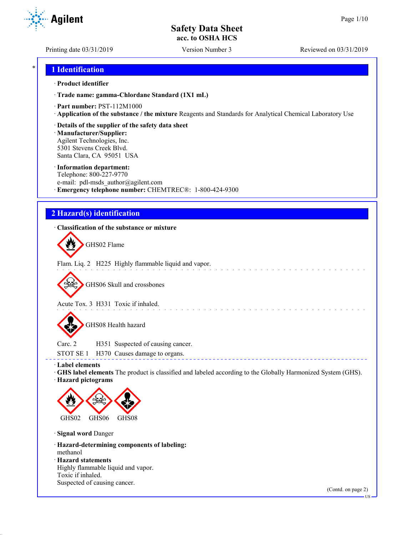**Agilent** 

Printing date 03/31/2019 Version Number 3 Reviewed on 03/31/2019

## \* **1 Identification**

#### · **Product identifier**

· **Trade name: gamma-Chlordane Standard (1X1 mL)**

- · **Part number:** PST-112M1000
- · **Application of the substance / the mixture** Reagents and Standards for Analytical Chemical Laboratory Use
- · **Details of the supplier of the safety data sheet**

· **Manufacturer/Supplier:** Agilent Technologies, Inc. 5301 Stevens Creek Blvd. Santa Clara, CA 95051 USA

#### · **Information department:**

Telephone: 800-227-9770 e-mail: pdl-msds author@agilent.com · **Emergency telephone number:** CHEMTREC®: 1-800-424-9300

# **2 Hazard(s) identification**

### · **Classification of the substance or mixture**

GHS02 Flame

Flam. Liq. 2 H225 Highly flammable liquid and vapor.

GHS06 Skull and crossbones

Acute Tox. 3 H331 Toxic if inhaled.

GHS08 Health hazard

Carc. 2 H351 Suspected of causing cancer. STOT SE 1 H370 Causes damage to organs.

· **Label elements**

· **GHS label elements** The product is classified and labeled according to the Globally Harmonized System (GHS). · **Hazard pictograms**

and a series of the contract of

----------------------------------



· **Signal word** Danger

· **Hazard-determining components of labeling:** methanol · **Hazard statements**

Highly flammable liquid and vapor. Toxic if inhaled. Suspected of causing cancer.

(Contd. on page 2)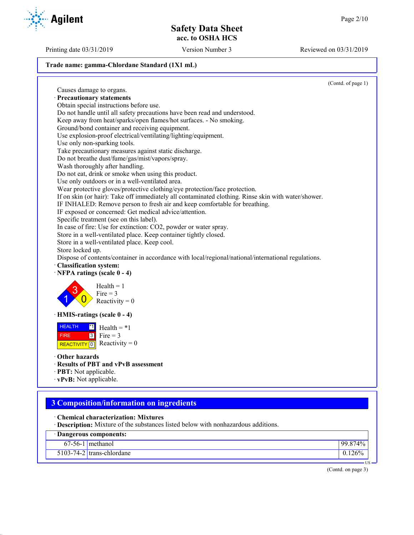Printing date 03/31/2019 Version Number 3 Reviewed on 03/31/2019

### **Trade name: gamma-Chlordane Standard (1X1 mL)**

(Contd. of page 1) Causes damage to organs. · **Precautionary statements** Obtain special instructions before use. Do not handle until all safety precautions have been read and understood. Keep away from heat/sparks/open flames/hot surfaces. - No smoking. Ground/bond container and receiving equipment. Use explosion-proof electrical/ventilating/lighting/equipment. Use only non-sparking tools. Take precautionary measures against static discharge. Do not breathe dust/fume/gas/mist/vapors/spray. Wash thoroughly after handling. Do not eat, drink or smoke when using this product. Use only outdoors or in a well-ventilated area. Wear protective gloves/protective clothing/eye protection/face protection. If on skin (or hair): Take off immediately all contaminated clothing. Rinse skin with water/shower. IF INHALED: Remove person to fresh air and keep comfortable for breathing. IF exposed or concerned: Get medical advice/attention. Specific treatment (see on this label). In case of fire: Use for extinction: CO2, powder or water spray. Store in a well-ventilated place. Keep container tightly closed. Store in a well-ventilated place. Keep cool. Store locked up. Dispose of contents/container in accordance with local/regional/national/international regulations. · **Classification system:** · **NFPA ratings (scale 0 - 4)** 1 3  $\overline{0}$  $Health = 1$  $Fire = 3$ Reactivity  $= 0$ · **HMIS-ratings (scale 0 - 4) HEALTH**  FIRE REACTIVITY  $\boxed{0}$  Reactivity = 0  $\overline{1}$  $3$  Fire = 3  $Health = *1$ · **Other hazards** · **Results of PBT and vPvB assessment** · **PBT:** Not applicable. · **vPvB:** Not applicable.

# **3 Composition/information on ingredients**

- · **Chemical characterization: Mixtures**
- · **Description:** Mixture of the substances listed below with nonhazardous additions.

| Dangerous components: |                             |      |
|-----------------------|-----------------------------|------|
|                       | $67-56-1$ methanol          | 874% |
|                       | $5103-74-2$ trans-chlordane |      |

(Contd. on page 3)

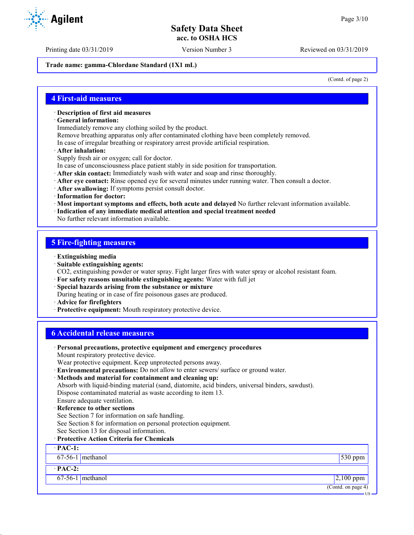Printing date 03/31/2019 Version Number 3 Reviewed on 03/31/2019

**Trade name: gamma-Chlordane Standard (1X1 mL)**

(Contd. of page 2)

### **4 First-aid measures**

- · **Description of first aid measures**
- · **General information:**

Immediately remove any clothing soiled by the product.

Remove breathing apparatus only after contaminated clothing have been completely removed.

- In case of irregular breathing or respiratory arrest provide artificial respiration.
- · **After inhalation:**

Supply fresh air or oxygen; call for doctor.

- In case of unconsciousness place patient stably in side position for transportation.
- · **After skin contact:** Immediately wash with water and soap and rinse thoroughly.
- · **After eye contact:** Rinse opened eye for several minutes under running water. Then consult a doctor.
- · **After swallowing:** If symptoms persist consult doctor.
- · **Information for doctor:**
- · **Most important symptoms and effects, both acute and delayed** No further relevant information available.
- · **Indication of any immediate medical attention and special treatment needed**

No further relevant information available.

# **5 Fire-fighting measures**

- · **Extinguishing media**
- · **Suitable extinguishing agents:**
- CO2, extinguishing powder or water spray. Fight larger fires with water spray or alcohol resistant foam.
- · **For safety reasons unsuitable extinguishing agents:** Water with full jet
- · **Special hazards arising from the substance or mixture**
- During heating or in case of fire poisonous gases are produced.
- · **Advice for firefighters**
- · **Protective equipment:** Mouth respiratory protective device.

# **6 Accidental release measures**

· **Personal precautions, protective equipment and emergency procedures** Mount respiratory protective device. Wear protective equipment. Keep unprotected persons away. · **Environmental precautions:** Do not allow to enter sewers/ surface or ground water. · **Methods and material for containment and cleaning up:** Absorb with liquid-binding material (sand, diatomite, acid binders, universal binders, sawdust). Dispose contaminated material as waste according to item 13. Ensure adequate ventilation. **Reference to other sections** See Section 7 for information on safe handling. See Section 8 for information on personal protection equipment. See Section 13 for disposal information. · **Protective Action Criteria for Chemicals** · **PAC-1:** 67-56-1 methanol 530 ppm · **PAC-2:**  $67-56-1$  methanol 2,100 ppm (Contd. on page 4) US

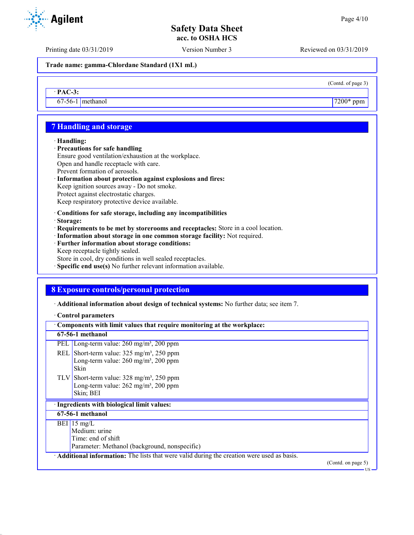(Contd. of page 3)

# **Safety Data Sheet acc. to OSHA HCS**

Printing date 03/31/2019 Version Number 3 Reviewed on 03/31/2019

**Trade name: gamma-Chlordane Standard (1X1 mL)**

· **PAC-3:**

 $67-56-1$  methanol  $7200*$  ppm

# **7 Handling and storage**

#### · **Handling:**

- · **Precautions for safe handling**
- Ensure good ventilation/exhaustion at the workplace. Open and handle receptacle with care.
- Prevent formation of aerosols.
- · **Information about protection against explosions and fires:** Keep ignition sources away - Do not smoke.
- Protect against electrostatic charges.
- Keep respiratory protective device available.
- · **Conditions for safe storage, including any incompatibilities**
- · **Storage:**
- · **Requirements to be met by storerooms and receptacles:** Store in a cool location.
- · **Information about storage in one common storage facility:** Not required.
- · **Further information about storage conditions:**
- Keep receptacle tightly sealed.
- Store in cool, dry conditions in well sealed receptacles.
- · **Specific end use(s)** No further relevant information available.

# **8 Exposure controls/personal protection**

· **Additional information about design of technical systems:** No further data; see item 7.

#### · **Control parameters**

| Components with limit values that require monitoring at the workplace:                                                              |
|-------------------------------------------------------------------------------------------------------------------------------------|
| 67-56-1 methanol                                                                                                                    |
| Long-term value: 260 mg/m <sup>3</sup> , 200 ppm<br>PEL I                                                                           |
| REL Short-term value: $325 \text{ mg/m}^3$ , $250 \text{ ppm}$<br>Long-term value: $260$ mg/m <sup>3</sup> , $200$ ppm<br>Skin      |
| TLV Short-term value: $328 \text{ mg/m}^3$ , $250 \text{ ppm}$<br>Long-term value: $262$ mg/m <sup>3</sup> , $200$ ppm<br>Skin; BEI |
| · Ingredients with biological limit values:                                                                                         |
| 67-56-1 methanol                                                                                                                    |
| BEI 15 mg/L<br>Medium: urine<br>Time: end of shift<br>Parameter: Methanol (background, nonspecific)                                 |
| Additional information: The lists that were valid during the creation were used as basis.<br>(Contd. on page 5)                     |

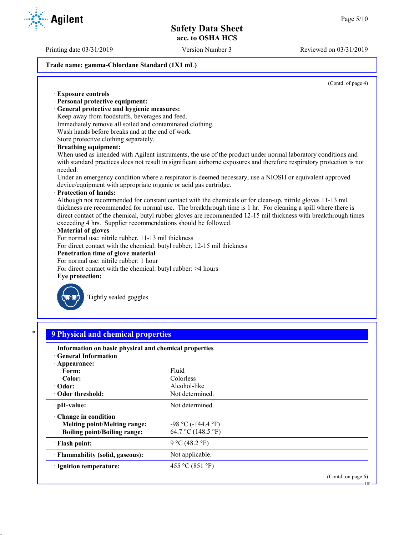Printing date 03/31/2019 Version Number 3 Reviewed on 03/31/2019

# **Trade name: gamma-Chlordane Standard (1X1 mL)**

(Contd. of page 4)

| <b>Exposure controls</b>                       |                                                                                                                       |
|------------------------------------------------|-----------------------------------------------------------------------------------------------------------------------|
| · Personal protective equipment:               |                                                                                                                       |
| · General protective and hygienic measures:    |                                                                                                                       |
|                                                | Keep away from foodstuffs, beverages and feed.                                                                        |
|                                                | Immediately remove all soiled and contaminated clothing.                                                              |
|                                                | Wash hands before breaks and at the end of work.                                                                      |
| Store protective clothing separately.          |                                                                                                                       |
| · Breathing equipment:                         |                                                                                                                       |
|                                                | When used as intended with Agilent instruments, the use of the product under normal laboratory conditions and         |
|                                                | with standard practices does not result in significant airborne exposures and therefore respiratory protection is not |
| needed.                                        |                                                                                                                       |
|                                                | Under an emergency condition where a respirator is deemed necessary, use a NIOSH or equivalent approved               |
|                                                | device/equipment with appropriate organic or acid gas cartridge.                                                      |
| · Protection of hands:                         |                                                                                                                       |
|                                                | Although not recommended for constant contact with the chemicals or for clean-up, nitrile gloves 11-13 mil            |
|                                                | thickness are recommended for normal use. The breakthrough time is 1 hr. For cleaning a spill where there is          |
|                                                | direct contact of the chemical, butyl rubber gloves are recommended 12-15 mil thickness with breakthrough times       |
|                                                | exceeding 4 hrs. Supplier recommendations should be followed.                                                         |
| · Material of gloves                           |                                                                                                                       |
|                                                | For normal use: nitrile rubber, 11-13 mil thickness                                                                   |
|                                                | For direct contact with the chemical: butyl rubber, 12-15 mil thickness                                               |
| · Penetration time of glove material           |                                                                                                                       |
| For normal use: nitrile rubber: 1 hour         |                                                                                                                       |
|                                                | For direct contact with the chemical: butyl rubber: >4 hours                                                          |
| $\cdot$ Eye protection:                        |                                                                                                                       |
|                                                |                                                                                                                       |
| Tightly sealed goggles                         |                                                                                                                       |
|                                                |                                                                                                                       |
|                                                |                                                                                                                       |
|                                                |                                                                                                                       |
|                                                |                                                                                                                       |
| *<br><b>9 Physical and chemical properties</b> |                                                                                                                       |
|                                                |                                                                                                                       |
|                                                | · Information on basic physical and chemical properties                                                               |
| <b>General Information</b>                     |                                                                                                                       |
| · Appearance:                                  |                                                                                                                       |
| Form:                                          | Fluid                                                                                                                 |
| Color:                                         | Colorless                                                                                                             |

| $\cdot$ Odor:<br>Odor threshold:                                                                  | Alcohol-like<br>Not determined.               |                       |
|---------------------------------------------------------------------------------------------------|-----------------------------------------------|-----------------------|
| · pH-value:                                                                                       | Not determined.                               |                       |
| Change in condition<br><b>Melting point/Melting range:</b><br><b>Boiling point/Boiling range:</b> | $-98$ °C ( $-144.4$ °F)<br>64.7 °C (148.5 °F) |                       |
| · Flash point:                                                                                    | 9 °C (48.2 °F)                                |                       |
| · Flammability (solid, gaseous):                                                                  | Not applicable.                               |                       |
| · Ignition temperature:                                                                           | 455 °C (851 °F)                               |                       |
|                                                                                                   |                                               | (Contd. on page $6$ ) |

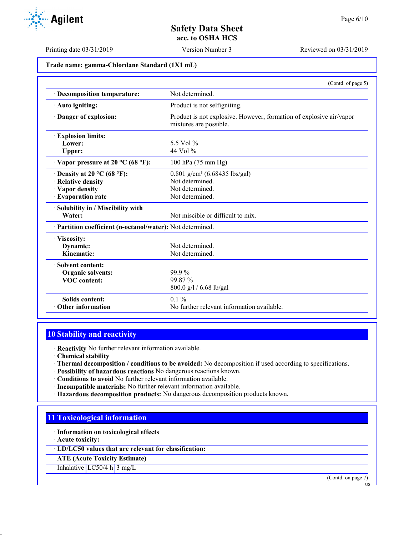**Trade name: gamma-Chlordane Standard (1X1 mL)**

|                                                                                                  | (Contd. of page 5)                                                                                   |
|--------------------------------------------------------------------------------------------------|------------------------------------------------------------------------------------------------------|
| · Decomposition temperature:                                                                     | Not determined.                                                                                      |
| · Auto igniting:                                                                                 | Product is not selfigniting.                                                                         |
| Danger of explosion:                                                                             | Product is not explosive. However, formation of explosive air/vapor<br>mixtures are possible.        |
| <b>Explosion limits:</b><br>Lower:<br>Upper:                                                     | 5.5 Vol $%$<br>44 Vol %                                                                              |
| $\cdot$ Vapor pressure at 20 °C (68 °F):                                                         | 100 hPa (75 mm Hg)                                                                                   |
| $\cdot$ Density at 20 °C (68 °F):<br>· Relative density<br>· Vapor density<br>· Evaporation rate | $0.801$ g/cm <sup>3</sup> (6.68435 lbs/gal)<br>Not determined.<br>Not determined.<br>Not determined. |
| · Solubility in / Miscibility with<br>Water:                                                     | Not miscible or difficult to mix.                                                                    |
| · Partition coefficient (n-octanol/water): Not determined.                                       |                                                                                                      |
| · Viscosity:<br>Dynamic:<br>Kinematic:                                                           | Not determined.<br>Not determined.                                                                   |
| · Solvent content:<br><b>Organic solvents:</b><br><b>VOC</b> content:                            | $99.9\%$<br>99.87 %<br>800.0 g/l / 6.68 lb/gal                                                       |
| <b>Solids content:</b><br>Other information                                                      | $0.1\%$<br>No further relevant information available.                                                |

# **10 Stability and reactivity**

· **Reactivity** No further relevant information available.

· **Chemical stability**

- · **Thermal decomposition / conditions to be avoided:** No decomposition if used according to specifications.
- · **Possibility of hazardous reactions** No dangerous reactions known.
- · **Conditions to avoid** No further relevant information available.
- · **Incompatible materials:** No further relevant information available.
- · **Hazardous decomposition products:** No dangerous decomposition products known.

# **11 Toxicological information**

· **Information on toxicological effects**

· **Acute toxicity:**

· **LD/LC50 values that are relevant for classification:**

**ATE (Acute Toxicity Estimate)**

Inhalative LC50/4 h 3 mg/L

(Contd. on page 7)

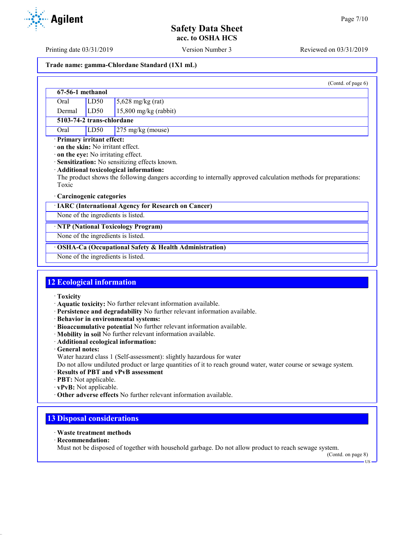Printing date 03/31/2019 Version Number 3 Reviewed on 03/31/2019

#### **Trade name: gamma-Chlordane Standard (1X1 mL)**

|                                    |                                                                        | (Contd. of page 6)                                                                                                                                                                                                                               |
|------------------------------------|------------------------------------------------------------------------|--------------------------------------------------------------------------------------------------------------------------------------------------------------------------------------------------------------------------------------------------|
|                                    | 67-56-1 methanol                                                       |                                                                                                                                                                                                                                                  |
| Oral                               | LD50                                                                   | $5,628$ mg/kg (rat)                                                                                                                                                                                                                              |
| Dermal                             | LD <sub>50</sub>                                                       | $15,800$ mg/kg (rabbit)                                                                                                                                                                                                                          |
|                                    | 5103-74-2 trans-chlordane                                              |                                                                                                                                                                                                                                                  |
| Oral                               | LD50                                                                   | 275 mg/kg (mouse)                                                                                                                                                                                                                                |
| Toxic                              | · Primary irritant effect:<br>$\cdot$ on the skin: No irritant effect. | on the eye: No irritating effect.<br>· Sensitization: No sensitizing effects known.<br>· Additional toxicological information:<br>The product shows the following dangers according to internally approved calculation methods for preparations: |
|                                    | Carcinogenic categories                                                |                                                                                                                                                                                                                                                  |
|                                    |                                                                        | · IARC (International Agency for Research on Cancer)                                                                                                                                                                                             |
| None of the ingredients is listed. |                                                                        |                                                                                                                                                                                                                                                  |
|                                    |                                                                        | · NTP (National Toxicology Program)                                                                                                                                                                                                              |
|                                    |                                                                        | None of the ingredients is listed.                                                                                                                                                                                                               |
|                                    |                                                                        | · OSHA-Ca (Occupational Safety & Health Administration)                                                                                                                                                                                          |

None of the ingredients is listed.

# **12 Ecological information**

- · **Toxicity**
- · **Aquatic toxicity:** No further relevant information available.
- · **Persistence and degradability** No further relevant information available.
- · **Behavior in environmental systems:**
- · **Bioaccumulative potential** No further relevant information available.
- · **Mobility in soil** No further relevant information available.
- · **Additional ecological information:**
- · **General notes:**
- Water hazard class 1 (Self-assessment): slightly hazardous for water

Do not allow undiluted product or large quantities of it to reach ground water, water course or sewage system.

- · **Results of PBT and vPvB assessment**
- · **PBT:** Not applicable.
- · **vPvB:** Not applicable.
- · **Other adverse effects** No further relevant information available.

# **13 Disposal considerations**

- · **Waste treatment methods**
- · **Recommendation:**

Must not be disposed of together with household garbage. Do not allow product to reach sewage system.

(Contd. on page 8)

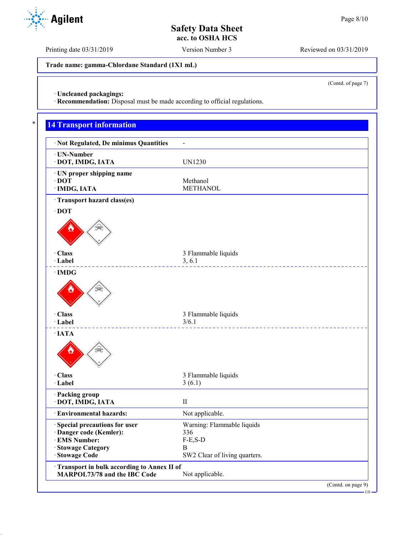Printing date 03/31/2019 Version Number 3 Reviewed on 03/31/2019

**Trade name: gamma-Chlordane Standard (1X1 mL)**

(Contd. of page 7)

· **Uncleaned packagings:**

· **Recommendation:** Disposal must be made according to official regulations.

# **14 Transport information**

| · Not Regulated, De minimus Quantities                                     | $\blacksquare$                     |
|----------------------------------------------------------------------------|------------------------------------|
| · UN-Number<br>· DOT, IMDG, IATA                                           | <b>UN1230</b>                      |
| · UN proper shipping name                                                  |                                    |
| $\cdot$ DOT                                                                | Methanol                           |
| · IMDG, IATA                                                               | <b>METHANOL</b>                    |
| · Transport hazard class(es)                                               |                                    |
| $\cdot$ DOT                                                                |                                    |
| ≸≹                                                                         |                                    |
| · Class<br>· Label                                                         | 3 Flammable liquids<br>3, 6.1      |
| $\cdot$ IMDG                                                               |                                    |
| $\mathbb{R}$                                                               |                                    |
| · Class<br>· Label                                                         | 3 Flammable liquids<br>3/6.1       |
| $\cdot$ IATA                                                               |                                    |
| ≸≹                                                                         |                                    |
| · Class                                                                    | 3 Flammable liquids                |
| · Label                                                                    | 3(6.1)                             |
| · Packing group                                                            |                                    |
| · DOT, IMDG, IATA                                                          | $\rm II$                           |
| · Environmental hazards:                                                   | Not applicable.                    |
| Special precautions for user                                               | Warning: Flammable liquids         |
| · Danger code (Kemler):                                                    | 336                                |
| · EMS Number:                                                              | $F-E, S-D$                         |
| · Stowage Category<br>· Stowage Code                                       | B<br>SW2 Clear of living quarters. |
|                                                                            |                                    |
| Transport in bulk according to Annex II of<br>MARPOL73/78 and the IBC Code | Not applicable.                    |
|                                                                            | (Contd. on page 9)                 |

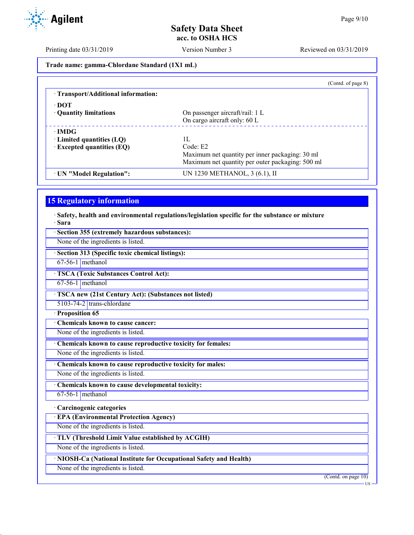Printing date 03/31/2019 Version Number 3 Reviewed on 03/31/2019

**Trade name: gamma-Chlordane Standard (1X1 mL)**

|                                     | (Contd. of page 8)                               |
|-------------------------------------|--------------------------------------------------|
| · Transport/Additional information: |                                                  |
| · DOT                               |                                                  |
| • Quantity limitations              | On passenger aircraft/rail: 1 L                  |
|                                     | On cargo aircraft only: 60 L                     |
| $\cdot$ IMDG                        |                                                  |
| $\cdot$ Limited quantities (LQ)     | 1Ι.                                              |
| $\cdot$ Excepted quantities (EQ)    | Code: E2                                         |
|                                     | Maximum net quantity per inner packaging: 30 ml  |
|                                     | Maximum net quantity per outer packaging: 500 ml |
| · UN "Model Regulation":            | UN 1230 METHANOL, 3 (6.1), II                    |
|                                     |                                                  |

# **15 Regulatory information**

· **Safety, health and environmental regulations/legislation specific for the substance or mixture** · **Sara**

| Section 355 (extremely hazardous substances):                      |                     |
|--------------------------------------------------------------------|---------------------|
| None of the ingredients is listed.                                 |                     |
| · Section 313 (Specific toxic chemical listings):                  |                     |
| $67-56-1$ methanol                                                 |                     |
| <b>TSCA</b> (Toxic Substances Control Act):                        |                     |
| $67-56-1$ methanol                                                 |                     |
| TSCA new (21st Century Act): (Substances not listed)               |                     |
| 5103-74-2 trans-chlordane                                          |                     |
| · Proposition 65                                                   |                     |
| Chemicals known to cause cancer:                                   |                     |
| None of the ingredients is listed.                                 |                     |
| Chemicals known to cause reproductive toxicity for females:        |                     |
| None of the ingredients is listed.                                 |                     |
| Chemicals known to cause reproductive toxicity for males:          |                     |
| None of the ingredients is listed.                                 |                     |
| Chemicals known to cause developmental toxicity:                   |                     |
| $67-56-1$ methanol                                                 |                     |
| · Carcinogenic categories                                          |                     |
| <b>EPA (Environmental Protection Agency)</b>                       |                     |
| None of the ingredients is listed.                                 |                     |
| TLV (Threshold Limit Value established by ACGIH)                   |                     |
| None of the ingredients is listed.                                 |                     |
| · NIOSH-Ca (National Institute for Occupational Safety and Health) |                     |
| None of the ingredients is listed.                                 |                     |
|                                                                    | (Contd. on page 10) |